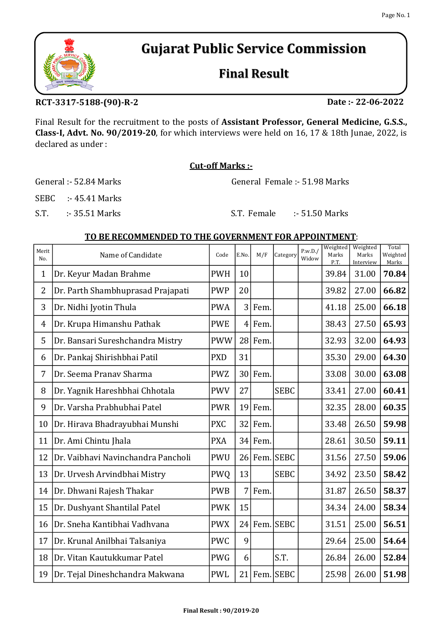# Gujarat Public Service Commission

## Final Result

### RCT-3317-5188-(90)-R-2

Final Result for the recruitment to the posts of Assistant Professor, General Medicine, G.S.S., Class-I, Advt. No. 90/2019-20, for which interviews were held on 16, 17 & 18th Junae, 2022, is declared as under :

#### Cut-off Marks :-

General :- 52.84 Marks General Female :- 51.98 Marks

SEBC :- 45.41 Marks

S.T. :- 35.51 Marks S.T. Female :- 51.50 Marks

#### TO BE RECOMMENDED TO THE GOVERNMENT FOR APPOINTMENT:

| Merit<br>No.   | Name of Candidate                  | Code       | E.No.          | M/F       | Category     | P.w.D./<br>Widow | Weighted<br>Marks<br>P.T. | Weighted<br>Marks<br>Interview | Total<br>Weighted<br>Marks |
|----------------|------------------------------------|------------|----------------|-----------|--------------|------------------|---------------------------|--------------------------------|----------------------------|
| $\mathbf 1$    | Dr. Keyur Madan Brahme             | <b>PWH</b> | 10             |           |              |                  | 39.84                     | 31.00                          | 70.84                      |
| $\overline{2}$ | Dr. Parth Shambhuprasad Prajapati  | <b>PWP</b> | 20             |           |              |                  | 39.82                     | 27.00                          | 66.82                      |
| 3              | Dr. Nidhi Jyotin Thula             | <b>PWA</b> | 3              | Fem.      |              |                  | 41.18                     | 25.00                          | 66.18                      |
| $\overline{4}$ | Dr. Krupa Himanshu Pathak          | <b>PWE</b> | $\overline{4}$ | Fem.      |              |                  | 38.43                     | 27.50                          | 65.93                      |
| 5              | Dr. Bansari Sureshchandra Mistry   | <b>PWW</b> |                | 28 Fem.   |              |                  | 32.93                     | 32.00                          | 64.93                      |
| 6              | Dr. Pankaj Shirishbhai Patil       | <b>PXD</b> | 31             |           |              |                  | 35.30                     | 29.00                          | 64.30                      |
| 7              | Dr. Seema Pranav Sharma            | <b>PWZ</b> |                | 30 Fem.   |              |                  | 33.08                     | 30.00                          | 63.08                      |
| 8              | Dr. Yagnik Hareshbhai Chhotala     | <b>PWV</b> | 27             |           | <b>SEBC</b>  |                  | 33.41                     | 27.00                          | 60.41                      |
| 9              | Dr. Varsha Prabhubhai Patel        | <b>PWR</b> | 19             | Fem.      |              |                  | 32.35                     | 28.00                          | 60.35                      |
| 10             | Dr. Hirava Bhadrayubhai Munshi     | <b>PXC</b> |                | $32$ Fem. |              |                  | 33.48                     | 26.50                          | 59.98                      |
| 11             | Dr. Ami Chintu Jhala               | <b>PXA</b> |                | $34$ Fem. |              |                  | 28.61                     | 30.50                          | 59.11                      |
| 12             | Dr. Vaibhavi Navinchandra Pancholi | <b>PWU</b> |                |           | 26 Fem. SEBC |                  | 31.56                     | 27.50                          | 59.06                      |
| 13             | Dr. Urvesh Arvindbhai Mistry       | <b>PWQ</b> | 13             |           | <b>SEBC</b>  |                  | 34.92                     | 23.50                          | 58.42                      |
| 14             | Dr. Dhwani Rajesh Thakar           | <b>PWB</b> | 7              | Fem.      |              |                  | 31.87                     | 26.50                          | 58.37                      |
| 15             | Dr. Dushyant Shantilal Patel       | <b>PWK</b> | 15             |           |              |                  | 34.34                     | 24.00                          | 58.34                      |
| 16             | Dr. Sneha Kantibhai Vadhvana       | <b>PWX</b> |                |           | 24 Fem. SEBC |                  | 31.51                     | 25.00                          | 56.51                      |
| 17             | Dr. Krunal Anilbhai Talsaniya      | <b>PWC</b> | 9              |           |              |                  | 29.64                     | 25.00                          | 54.64                      |
| 18             | Dr. Vitan Kautukkumar Patel        | <b>PWG</b> | 6              |           | S.T.         |                  | 26.84                     | 26.00                          | 52.84                      |
| 19             | Dr. Tejal Dineshchandra Makwana    | <b>PWL</b> |                |           | 21 Fem. SEBC |                  | 25.98                     | 26.00                          | 51.98                      |



Date :- 22-06-2022